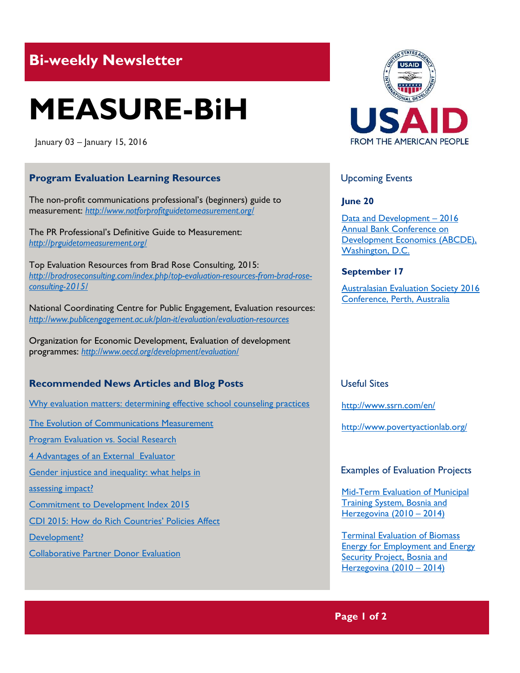# **Bi-weekly Newsletter**

# **MEASURE-BiH**

January 03 – January 15, 2016

# **Program Evaluation Learning Resources**

The non-profit communications professional's (beginners) guide to measurement: *http://www.notforprofitguidetomeasurement.org/*

The PR Professional's Definitive Guide to Measurement: *http://prguidetomeasurement.org/*

Top Evaluation Resources from Brad Rose Consulting, 2015: *[http://bradroseconsulting.com/index.php/top-evaluation-resources-from-brad-rose](http://bradroseconsulting.com/index.php/top-evaluation-resources-from-brad-rose-consulting-2015/)[consulting-2015/](http://bradroseconsulting.com/index.php/top-evaluation-resources-from-brad-rose-consulting-2015/)*

National Coordinating Centre for Public Engagement, Evaluation resources: *<http://www.publicengagement.ac.uk/plan-it/evaluation/evaluation-resources>*

Organization for Economic Development, Evaluation of development programmes: *<http://www.oecd.org/development/evaluation/>*

# **Recommended News Articles and Blog Posts**

[Why evaluation matters: determining effective school counseling practices](http://www.thefreelibrary.com/_/print/PrintArticle.aspx?id=206850816)

[The Evolution of Communications Measurement](http://amecinternationalsummitamsterdam.org/wp-content/uploads/2014/06/Return-on-engagement-BoozAllen-Infographic.pdf)

[Program Evaluation vs. Social Research](http://bradroseconsulting.com/index.php/program-evaluation-vs-social-research/)

[4 Advantages of an External Evaluator](http://bradroseconsulting.com/index.php/4-advantages-external-evaluator/)

Gender injustice and inequality: what helps in

[assessing impact?](http://betterevaluation.org/blog/gender_injustice_and_inequality-what_helps_in_assessing_impact) 

[Commitment to Development Index 2015](http://www.cgdev.org/publication/ft/commitment-development-index-2015)

[CDI 2015: How do Rich Countries' Policie](http://www.cgdev.org/blog/cdi-2015-how-do-rich-countries-policies-affect-development-podcast-owen-barder?callout=2-2)s Affect

[Development?](http://www.cgdev.org/blog/cdi-2015-how-do-rich-countries-policies-affect-development-podcast-owen-barder?callout=2-2)

[Collaborative Partner Donor Evaluation](http://www.oecd.org/dac/evaluation/collaborativepartnerdonorevaluation.htm)



# Upcoming Events

**June 20**

[Data and Development](http://www.worldbank.org/en/events/2015/11/10/annual-bank-conference-on-development-economics-2016-data-and-development) – 2016 [Annual Bank Conference on](http://www.worldbank.org/en/events/2015/11/10/annual-bank-conference-on-development-economics-2016-data-and-development)  [Development Economics \(ABCDE\),](http://www.worldbank.org/en/events/2015/11/10/annual-bank-conference-on-development-economics-2016-data-and-development)  [Washington, D.C.](http://www.worldbank.org/en/events/2015/11/10/annual-bank-conference-on-development-economics-2016-data-and-development)

# **September 17**

[Australasian Evaluation Society 2016](http://mande.co.uk/conferences/?event_id1=24)  [Conference, Perth, Australia](http://mande.co.uk/conferences/?event_id1=24)

# Useful Sites

<http://www.ssrn.com/en/>

<http://www.povertyactionlab.org/>

#### Examples of Evaluation Projects

[Mid-Term Evaluation of Municipal](http://erc.undp.org/evaluationadmin/manageevaluation/viewevaluationdetail.html;jsessionid=6BDBBB76E5A1E60A5F4DAFA57570D84C?evalid=7023)  [Training System, Bosnia and](http://erc.undp.org/evaluationadmin/manageevaluation/viewevaluationdetail.html;jsessionid=6BDBBB76E5A1E60A5F4DAFA57570D84C?evalid=7023)  [Herzegovina \(2010](http://erc.undp.org/evaluationadmin/manageevaluation/viewevaluationdetail.html;jsessionid=6BDBBB76E5A1E60A5F4DAFA57570D84C?evalid=7023) – 2014)

[Terminal Evaluation of Biomass](http://erc.undp.org/evaluationadmin/manageevaluation/viewevaluationdetail.html;jsessionid=6BDBBB76E5A1E60A5F4DAFA57570D84C?evalid=4753)  [Energy for Employment and Energy](http://erc.undp.org/evaluationadmin/manageevaluation/viewevaluationdetail.html;jsessionid=6BDBBB76E5A1E60A5F4DAFA57570D84C?evalid=4753)  [Security Project, Bosnia and](http://erc.undp.org/evaluationadmin/manageevaluation/viewevaluationdetail.html;jsessionid=6BDBBB76E5A1E60A5F4DAFA57570D84C?evalid=4753)  [Herzegovina \(2010](http://erc.undp.org/evaluationadmin/manageevaluation/viewevaluationdetail.html;jsessionid=6BDBBB76E5A1E60A5F4DAFA57570D84C?evalid=4753) – 2014)